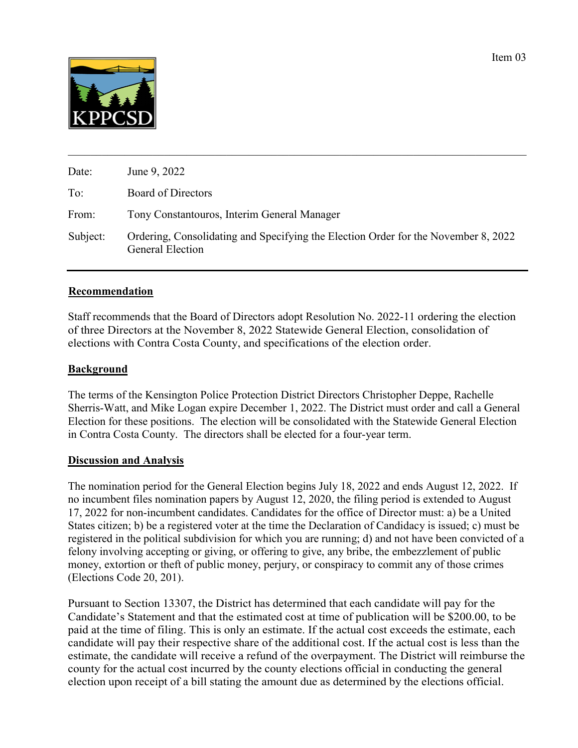

| Date:    | June 9, 2022                                                                                                  |
|----------|---------------------------------------------------------------------------------------------------------------|
| To:      | Board of Directors                                                                                            |
| From:    | Tony Constantouros, Interim General Manager                                                                   |
| Subject: | Ordering, Consolidating and Specifying the Election Order for the November 8, 2022<br><b>General Election</b> |

## **Recommendation**

Staff recommends that the Board of Directors adopt Resolution No. 2022-11 ordering the election of three Directors at the November 8, 2022 Statewide General Election, consolidation of elections with Contra Costa County, and specifications of the election order.

## **Background**

The terms of the Kensington Police Protection District Directors Christopher Deppe, Rachelle Sherris-Watt, and Mike Logan expire December 1, 2022. The District must order and call a General Election for these positions. The election will be consolidated with the Statewide General Election in Contra Costa County. The directors shall be elected for a four-year term.

## **Discussion and Analysis**

The nomination period for the General Election begins July 18, 2022 and ends August 12, 2022. If no incumbent files nomination papers by August 12, 2020, the filing period is extended to August 17, 2022 for non-incumbent candidates. Candidates for the office of Director must: a) be a United States citizen; b) be a registered voter at the time the Declaration of Candidacy is issued; c) must be registered in the political subdivision for which you are running; d) and not have been convicted of a felony involving accepting or giving, or offering to give, any bribe, the embezzlement of public money, extortion or theft of public money, perjury, or conspiracy to commit any of those crimes (Elections Code 20, 201).

Pursuant to Section 13307, the District has determined that each candidate will pay for the Candidate's Statement and that the estimated cost at time of publication will be \$200.00, to be paid at the time of filing. This is only an estimate. If the actual cost exceeds the estimate, each candidate will pay their respective share of the additional cost. If the actual cost is less than the estimate, the candidate will receive a refund of the overpayment. The District will reimburse the county for the actual cost incurred by the county elections official in conducting the general election upon receipt of a bill stating the amount due as determined by the elections official.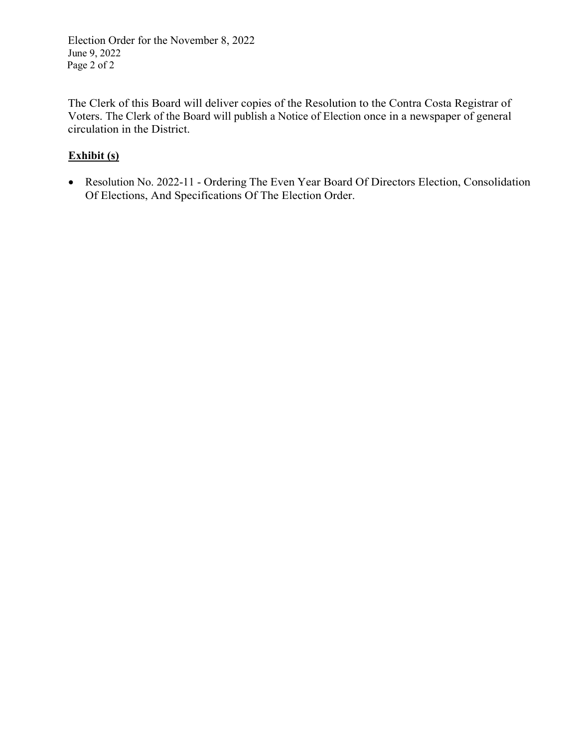Election Order for the November 8, 2022 June 9, 2022 Page 2 of 2

The Clerk of this Board will deliver copies of the Resolution to the Contra Costa Registrar of Voters. The Clerk of the Board will publish a Notice of Election once in a newspaper of general circulation in the District.

# **Exhibit (s)**

• Resolution No. 2022-11 - Ordering The Even Year Board Of Directors Election, Consolidation Of Elections, And Specifications Of The Election Order.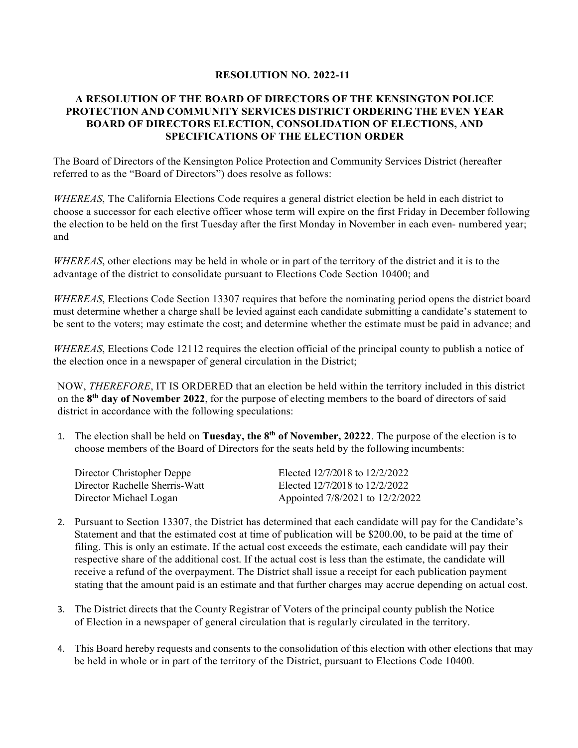#### **RESOLUTION NO. 2022-11**

## **A RESOLUTION OF THE BOARD OF DIRECTORS OF THE KENSINGTON POLICE PROTECTION AND COMMUNITY SERVICES DISTRICT ORDERING THE EVEN YEAR BOARD OF DIRECTORS ELECTION, CONSOLIDATION OF ELECTIONS, AND SPECIFICATIONS OF THE ELECTION ORDER**

The Board of Directors of the Kensington Police Protection and Community Services District (hereafter referred to as the "Board of Directors") does resolve as follows:

*WHEREAS*, The California Elections Code requires a general district election be held in each district to choose a successor for each elective officer whose term will expire on the first Friday in December following the election to be held on the first Tuesday after the first Monday in November in each even- numbered year; and

*WHEREAS*, other elections may be held in whole or in part of the territory of the district and it is to the advantage of the district to consolidate pursuant to Elections Code Section 10400; and

*WHEREAS*, Elections Code Section 13307 requires that before the nominating period opens the district board must determine whether a charge shall be levied against each candidate submitting a candidate's statement to be sent to the voters; may estimate the cost; and determine whether the estimate must be paid in advance; and

*WHEREAS*, Elections Code 12112 requires the election official of the principal county to publish a notice of the election once in a newspaper of general circulation in the District;

NOW, *THEREFORE*, IT IS ORDERED that an election be held within the territory included in this district on the **8th day of November 2022**, for the purpose of electing members to the board of directors of said district in accordance with the following speculations:

1. The election shall be held on **Tuesday, the 8th of November, 20222**. The purpose of the election is to choose members of the Board of Directors for the seats held by the following incumbents:

| Director Christopher Deppe     | Elected 12/7/2018 to 12/2/2022  |
|--------------------------------|---------------------------------|
| Director Rachelle Sherris-Watt | Elected 12/7/2018 to 12/2/2022  |
| Director Michael Logan         | Appointed 7/8/2021 to 12/2/2022 |

- 2. Pursuant to Section 13307, the District has determined that each candidate will pay for the Candidate's Statement and that the estimated cost at time of publication will be \$200.00, to be paid at the time of filing. This is only an estimate. If the actual cost exceeds the estimate, each candidate will pay their respective share of the additional cost. If the actual cost is less than the estimate, the candidate will receive a refund of the overpayment. The District shall issue a receipt for each publication payment stating that the amount paid is an estimate and that further charges may accrue depending on actual cost.
- 3. The District directs that the County Registrar of Voters of the principal county publish the Notice of Election in a newspaper of general circulation that is regularly circulated in the territory.
- 4. This Board hereby requests and consents to the consolidation of this election with other elections that may be held in whole or in part of the territory of the District, pursuant to Elections Code 10400.